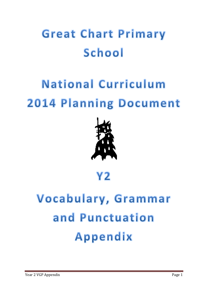## **Great Chart Primary** School

## **National Curriculum 2014 Planning Document**



## Y2

## Vocabulary, Grammar and Punctuation Appendix